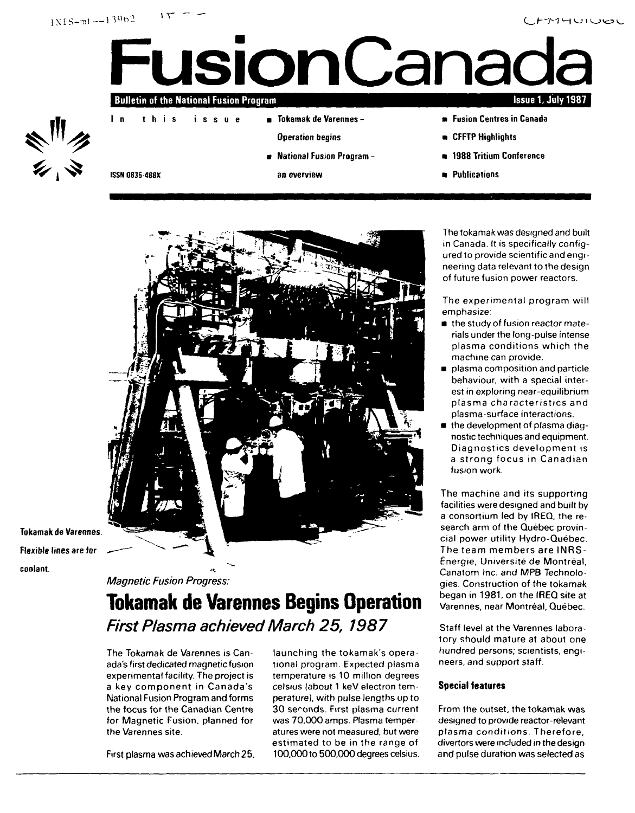



- Tokamak de Varennes
	- Operation begins
	- National Fusion Program -
	- an overview
- Fusion Centres in Canada
- **n** CFFTP Highlights
- 1988 Tritium Conference
- **Publications**

**ISSN 0835-488X**

In this

issue



Tokamak de Varennes. Flexible lines are for coolant.

# **Magnetic Fusion Progress:**

# **Tokamak de Varennes Begins Operation First Plasma achieved March 25, 1987**

The Tokamak de Varennes is Canada's first dedicated magnetic fusion experimental facility. The project is a key component in Canada's National Fusion Program and forms the focus for the Canadian Centre for Magnetic Fusion, planned for the Varennes site.

First plasma was achieved March 25,

launching the tokamak's operational program. Expected plasma temperature is 10 million degrees Celsius (about 1 keV electron temperature), with pulse lengths up to 30 seconds. First plasma current was 70,000 amps. Plasma temper atures were not measured, but were estimated to be in the range of 100,000 to 500,000 degrees celsius.

The tokamak was designed and built in Canada. It is specifically configured to provide scientific and engineering data relevant to the design of future fusion power reactors.

The experimental program will emphasize:

- **n** the study of fusion reactor materials under the long-pulse intense plasma conditions which the machine can provide.
- plasma composition and particle behaviour, with a special interest in exploring near-equilibrium plasma characteristics and plasma-surface interactions.
- the development of plasma diagnostic techniques and equipment. Diagnostics development is a strong focus in Canadian fusion work.

The machine and its supporting facilities were designed and built by a consortium led by IREQ, the research arm of the Quebec provincial power utility Hydro-Quebec. The team members are INRS-Energie, Universite de Montreal, Canatom Inc. and MPB Technologies. Construction of the tokamak began in 1981, on the IREQ site at Varennes, near Montréal, Québec.

Staff level at the Varennes laboratory should mature at about one hundred persons; scientists, engineers, and support staff.

# **Special features**

From the outset, the tokamak was designed to provide reactor-relevant plasma conditions. Therefore, divertors were included in the design and pulse duration was selected as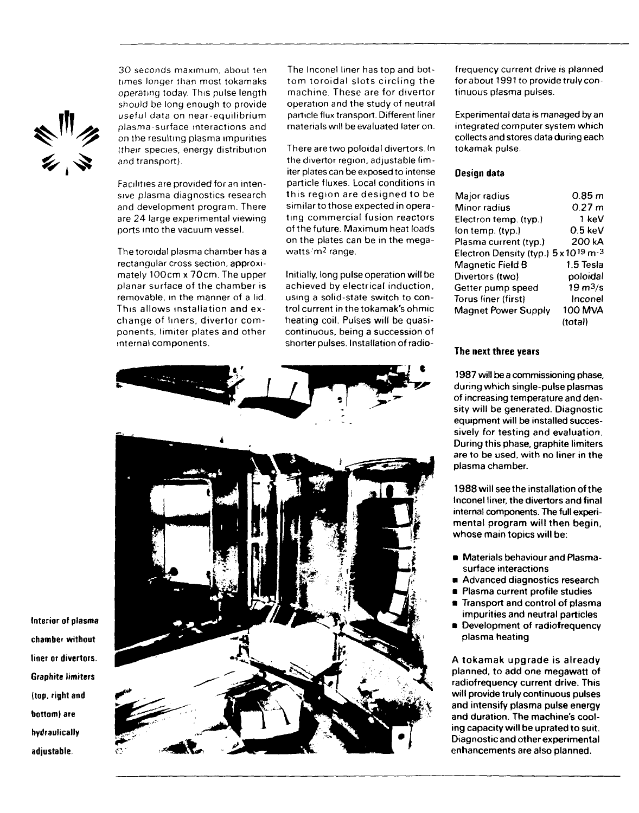

30 seconds maximum, about ten times longer than most tokamaks operating today. This pulse length should be long enough to provide useful data on near-equilibrium plasma-surface interactions and on the resulting plasma impurities (their species, energy distribution and transport).

Facilities are provided for an intensive plasma diagnostics research and development program. There are 24 large experimental viewing ports into the vacuum vessel.

The toroidal plasma chamber has a rectangular cross section, approximately 100cm x 70cm. The upper planar surface of the chamber is removable, in the manner of a lid. This allows installation and exchange of liners, divertor components, limiter plates and other internal components.

The Inconel liner has top and bottom toroidal slots circling the machine. These are for divertor operation and the study of neutral particle flux transport. Different liner materials will be evaluated later on.

There are two poloidal divertors. In the divertor region, adjustable limiter plates can be exposed to intense particle fluxes. Local conditions in this region are designed to be similar to those expected in operating commercial fusion reactors of the future. Maximum heat loads on the plates can be in the megawatts 'm<sup>2</sup> range.

Initially, long pulse operation will be achieved by electrical induction, using a solid-state switch to control current in the tokamak's ohmic heating coil. Pulses will be quasicontinuous, being a succession of shorter pulses. Installation of radio-



frequency current drive is planned forabout 1991 to provide truly continuous plasma pulses.

Experimental data is managed by an integrated computer system which collects and stores data during each tokamak pulse.

## **Design data**

| Major radius                                     | 0.85 m              |
|--------------------------------------------------|---------------------|
| Minor radius                                     | 0.27 m              |
| Electron temp. (typ.)                            | 1 keV               |
| (on temp. (typ.)                                 | $0.5 \text{ keV}$   |
| Plasma current (typ.)                            | 200 kA              |
| Electron Density (typ.) 5 x 10 <sup>19</sup> m-3 |                     |
| Magnetic Field B                                 | 1.5 Tesla           |
| Divertors (two)                                  | poloidal            |
| Getter pump speed                                | $19 \text{ m}^3$ /s |
| Torus liner (first)                              | Inconel             |
| Magnet Power Supply                              | 100 MVA             |
|                                                  | (total)             |
|                                                  |                     |

# **The next three years**

**1987 will be a commissioning phase, during which single-pulse plasmas of increasing temperature and density will be generated. Diagnostic equipment will be installed successively for testing and evaluation. During this phase, graphite limiters are to be used, with no liner in the plasma chamber.**

**1988 will seethe installation of the Inconel liner, the divertors and final internal components. The full experimental program will then begin, whose main topics will be:**

- **Materials behaviour and Plasmasurface interactions**
- **Advanced diagnostics research**
- **Plasma current profile studies**
- **Transport and control of plasma impurities and neutral particles**
- **Development of radiofrequency plasma heating**

**A tokamak upgrade is already planned, to add one megawatt of radiofrequency current drive. This will provide truly continuous pulses and intensify plasma pulse energy and duration. The machine's cooling capacity will be uprated to suit. Diagnostic and other experimental enhancements are also planned.**

**Interior of plasma chamber without liner or divertors. Graphite limiters (top, right and bottom) are bydraulically adjustable.**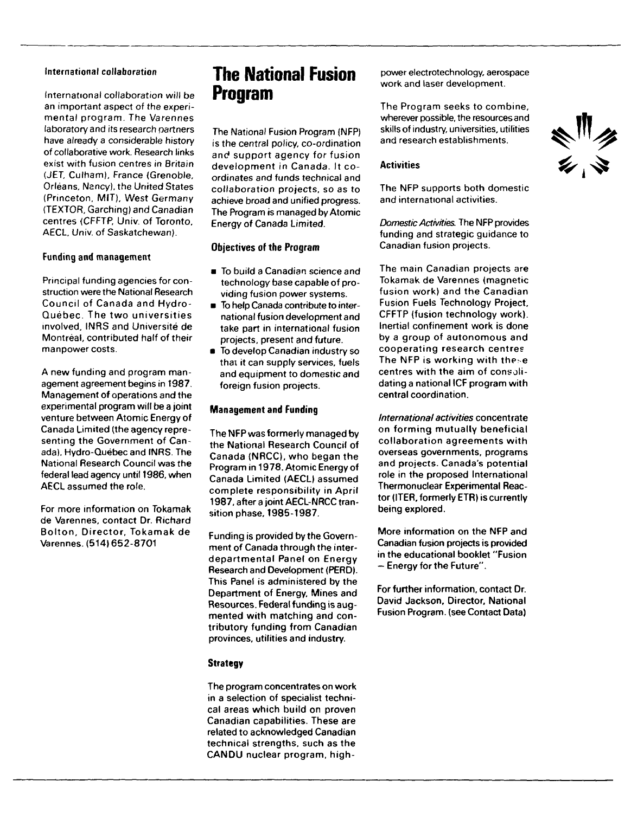# International collaboration

International collaboration will be an important aspect of the experimental program. The Varennes laboratory and its research partners have already a considerable history of collaborative work. Research links exist with fusion centres in Britain (JET. Culham), France (Grenoble. Orleans, Nancy), the United States (Princeton, MIT), West Germany (TEXTOR, Garching) and Canadian centres (CFFTP, Univ. of Toronto, AECL. Univ. of Saskatchewan).

# Funding and management

Principal funding agencies for construction were the National Research Council of Canada and Hydro-Quebec. The two universities involved, INRS and Universite de Montreal, contributed half of their manpower costs.

A new funding and program management agreement begins in 1987. Management of operations and the experimental program will be a joint venture between Atomic Energy of Canada Limited (the agency representing the Government of Canada). Hydro-Quebec and IIMRS. The National Research Council was the federal lead agency until 1986, when AECL assumed the role.

For more information on Tokamak de Varennes, contact Or. Richard Bolton, Director, Tokamak de Varennes. (514)652-8701

# **The National Fusion Program**

The National Fusion Program (NFP) is the central policy, co-ordination and support agency for fusion development in Canada. It coordinates and funds technical and collaboration projects, so as to achieve broad and unified progress. The Program is managed by Atomic Energy of Canada Limited.

## Objectives of **the** Program

- To build a Canadian science and technology base capable of providing fusion power systems.
- **To help Canada contribute to inter**national fusion development and take part in international fusion projects, present and future.
- To develop Canadian industry so thai it can supply services, fuels and equipment to domestic and foreign fusion projects.

# **Management and Funding**

The NFP was formerly managed by the National Research Council of Canada (NRCC), who began the Program in 1978. Atomic Energy of Canada Limited (AECL) assumed complete responsibility in April 1987, after a joint AECL-NRCC transition phase, 1985-1987.

Funding is provided by the Government of Canada through the interdepartmental Panel on Energy Research and Development (PERD). This Panel is administered by the Department of Energy, Mines and Resources. Federal funding is augmented with matching and contributory funding from Canadian provinces, utilities and industry.

# **Strategy**

The program concentrates on work in a selection of specialist technical areas which build on proven Canadian capabilities. These are related to acknowledged Canadian technical strengths, such as the CANDU nuclear program, highpower electrotechnology, aerospace work and laser development.

The Program seeks to combine, wherever possible, the resources and skills of industry, universities, utilities and research establishments.

## **Activities**

The NFP supports both domestic and international activities.

Domestic Activities. The NFP provides funding and strategic guidance to Canadian fusion projects.

The main Canadian projects are Tokamak de Varennes (magnetic fusion work) and the Canadian Fusion Fuels Technology Project, CFFTP {fusion technology work). Inertial confinement work is done by a group of autonomous and cooperating research centres The NFP is working with these centres with the aim of consolidating a national ICF program with central coordination.

International activities concentrate on forming mutually beneficial collaboration agreements with overseas governments, programs and projects. Canada's potential role in the proposed International Thermonuclear Experimental Reactor (ITER, formerly ETR) is currently being explored.

More information on the NFP and Canadian fusion projects is provided in the educational booklet "Fusion — Energy for the Future".

For further information, contact Dr. David Jackson, Director, National Fusion Program, (see Contact Data)

ミック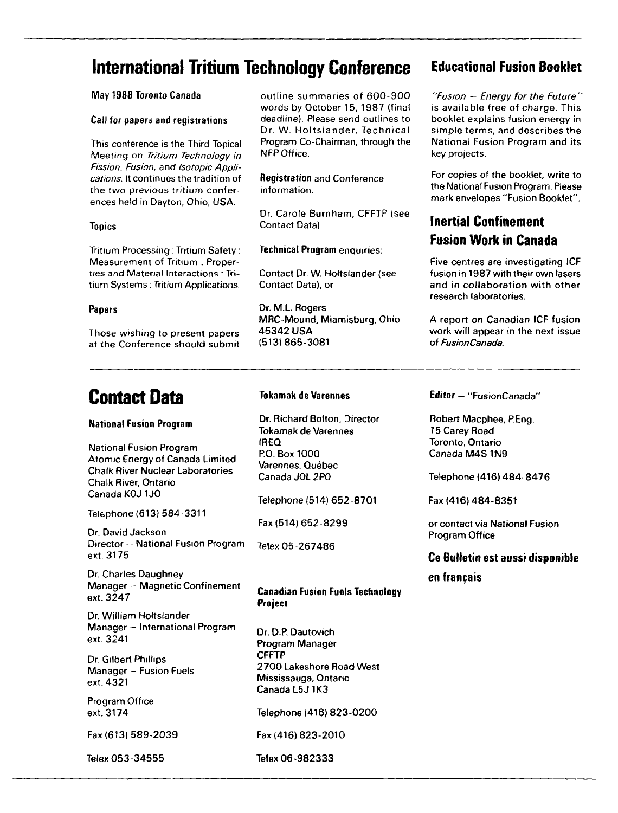# **International Tritium Technology Conference** Educational Fusion Booklet

# May 1988 Toronto Canada

## Call for papers and registrations

This conference is the Third Topical Meeting on Tritium Technology in Fission, Fusion, and Isotopic Applications. It continues the tradition of the two previous tritium conferences held in Dayton, Ohio, USA.

# Topics

Tritium Processing : Tritium Safety: Measurement of Tritium : Properties and Material Interactions : Tritium Systems: Tritium Applications

## Papers

Those wishing to present papers at the Conference should submit

# **Contact Data**

# **National Fusion Program**

National Fusion Program Atomic Energy of Canada Limited Chalk River Nuclear Laboratories Chalk River, Ontario Canada K0J1J0

Telephone (613) 584-3311

Dr. David Jackson Director — National Fusion Program ext. 3175

Dr. Charles Daughney Manager - Magnetic Confinement ext. 3247

Dr. William Holtslander Manager - International Program ext. 3241

Dr. Gilbert Phillips Manager - Fusion Fuels ext. 4321

Program Office ext. 3174

Fax (613) 589-2039

outline summaries of 600-900 words by October 15, 1987 (final deadline). Please send outlines to Dr. W. Holtslander, Technical Program Co-Chairman, through the NFP Office.

**Registration** and Conference information;

Dr. Carole Burnham, CFFTP (see Contact Data)

**Technical Program** enquiries:

Contact Dr. W. Holtslander (see Contact Data), or

Dr. M.L. Rogers MRC-Mound, Miamisburg, Ohio 45342 USA (513)865-3081

"Fusion — Energy for the Future" is available free of charge. This booklet explains fusion energy in simple terms, and describes the National Fusion Program and its key projects.

For copies of the booklet, write to the National Fusion Program. Please mark envelopes "Fusion Booklet".

# **Inertia! Confinement Fusion Work in Canada**

Five centres are investigating ICF fusion in 1987 with their own lasers and in collaboration with other research laboratories.

A report on Canadian ICF fusion work will appear in the next issue of FusionCanada.

# **Tokamak de Varennes**

Dr. Richard Bolton, Director Tokamak de Varennes IREQ P.O. Box 1000 Varennes, Québec<br>Canada JOL 2PO

Telephone (514) 652-8701 Telephone (514) 652-8701

Telex 05-267486

# **Canadian Fusion Fuels Technology Project**

Dr. D.P. Dautovich Program Manager **CFFTP** 2700 Lakeshore Road West Mississauga, Ontario Canada L5J 1K3

Telephone (416) 823-0200

Fax (416) 823-2010 Fax (416) 823-2010

Telex 053-34555 Telex 06-982333

**Editor** — "FusionCanada"

Robert Macphee, P.Eng. 15 Carey Road Toronto, Ontario Canada M4S1N9

Telephone (416) 484-8476

Fax (416) 484-8351

or contact via National Fusion Program Office

# **Ce Bulletin est aussi disponible**

# **en francais**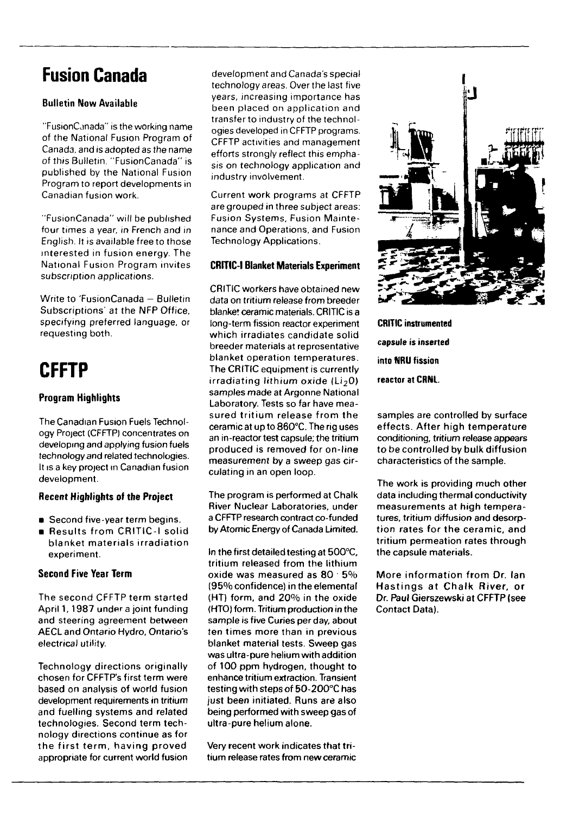# **Fusion Canada**

# Bulletin **Now** Available

"FusionCanada" is the working name of the National Fusion Program of Canada, and is adopted as the name of this Bulletin. "FusionCanada" is published by the National Fusion Program to report developments in Canadian fusion work.

"FusionCanada" will be published four times a year, in French and in English. It is available free to those interested in fusion energy. The National Fusion Program invites subscription applications.

Write to 'FusionCanada - Bulletin Subscriptions' at the NFP Office specifying preferred language, or requesting both.

# **CFFTP**

# **Program Highlights**

The Canadian Fusion Fuels Technology Project (CFFTP) concentrates on developing and applying fusion fuels technology and related technologies. It is a key project in Canadian fusion development.

# **Recent Highlights of the Project**

- **•** Second five-year term begins.
- Results from CRITIC-I solid blanket materials irradiation experiment.

# **Second Five Year Term**

The second CFFTP term started April 1,1987 under a joint funding and steering agreement between AECL and Ontario Hydro, Ontario's electrical utility.

Technology directions originally chosen for CFFTP's first term were based on analysis of world fusion development requirements in tritium and fuelling systems and related technologies. Second term technology directions continue as for the first term, having proved appropriate for current world fusion

development and Canada's special technology areas. Over the last five years, increasing importance has been placed on application and transfer to industry of the technologies developed in CFFTP programs. CFFTP activities and management efforts strongly reflect this emphasis on technology application and industry involvement.

Current work programs at CFFTP are grouped in three subject areas: Fusion Systems, Fusion Maintenance and Operations, and Fusion Technology Applications.

# **CRITIC-I Blanket Materials Experiment**

CRITIC workers have obtained new data on tritium release from breeder blanket ceramic materials. CRITIC is a long-term fission reactor experiment which irradiates candidate solid breeder materials at representative blanket operation temperatures. The CRITIC equipment is currently  $irradiating *lithium* oxide (Li<sub>2</sub>O)$ samples made at Argonne National Laboratory. Tests so far have measured tritium release from the ceramic at up to 860°C. The rig uses an in-reactor test capsule; the tritium produced is removed for on-line measurement by a sweep gas circulating in an open loop.

The program is performed at Chalk River Nuclear Laboratories, under a CFFTP research contract co-funded by Atomic Energy of Canada Limited.

In the first detailed testing at 500°C, tritium released from the lithium oxide was measured as 80 • 5% (95% confidence) in the elemental (HT) form, and 20% in the oxide (HTO) form. Tritium production in the sample is five Curies per day, about ten times more than in previous blanket material tests. Sweep gas was ultra-pure helium with addition of 100 ppm hydrogen, thought to enhance tritium extraction. Transient testing with steps of 50-200°C has just been initiated. Runs are also being performed with sweep gas of ultra-pure helium alone.

Very recent work indicates that tritium release rates from new ceramic



**CRITIC instrumented capsule is inserted into NRU fission reactor at CRNL.**

samples are controlled by surface effects. After high temperature conditioning, tritium release appears to be controlled by bulk diffusion characteristics of the sample.

The work is providing much other data including thermal conductivity measurements at high temperatures, tritium diffusion and desorption rates for the ceramic, and tritium permeation rates through the capsule materials.

More information from Dr. Ian Hastings at Chalk River, or Dr. Paul Gierszewski at CFFTP (see Contact Data).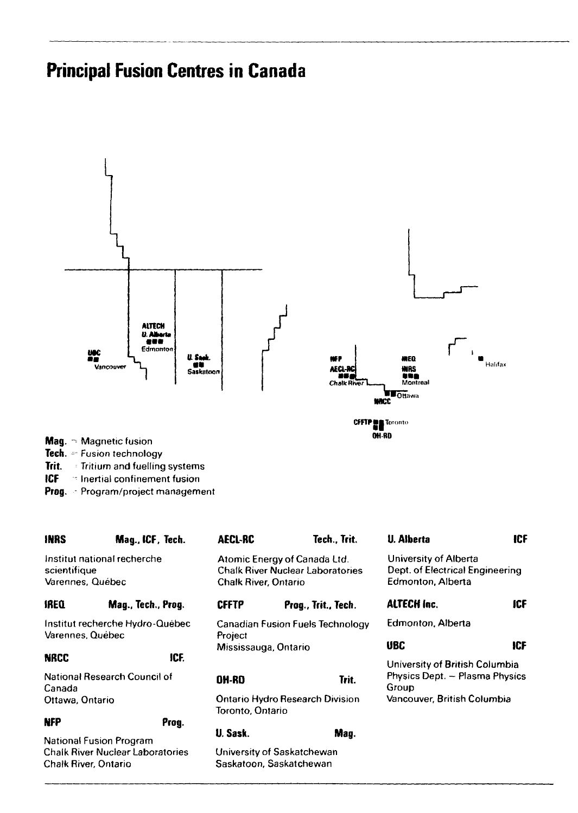# **Principal Fusion Centres in Canada**





- **Mag.** ~ Magnetic fusion
- **Tech.** = Fusion technology
- **Trit.** Tritium and fuelling systems
- **ICF** " Inertial confinement fusion
- **Prog.** •- Program/project management

| <b>INRS</b>                                     | Mag., ICF, Tech.            | <b>AECL-RC</b>                                             | Tech., Trit.                                                            | <b>U.</b> Alberta                                                             | <b>ICF</b> |
|-------------------------------------------------|-----------------------------|------------------------------------------------------------|-------------------------------------------------------------------------|-------------------------------------------------------------------------------|------------|
| scientifique<br>Varennes, Québec                | Institut national recherche | Chalk River, Ontario                                       | Atomic Energy of Canada Ltd.<br><b>Chalk River Nuclear Laboratories</b> | University of Alberta<br>Dept. of Electrical Engineering<br>Edmonton, Alberta |            |
| <b>IREQ</b>                                     | Mag., Tech., Prog.          | <b>CFFTP</b>                                               | Prog., Trit., Tech.                                                     | <b>ALTECH Inc.</b>                                                            | icF        |
| Institut recherche Hydro-Québec                 |                             | Canadian Fusion Fuels Technology                           |                                                                         | Edmonton, Alberta                                                             |            |
| Varennes, Quebec                                |                             | Project                                                    |                                                                         |                                                                               |            |
|                                                 |                             | Mississauga, Ontario                                       |                                                                         | UBC                                                                           | ICF        |
| NRCC                                            | ICF.                        |                                                            |                                                                         | University of British Columbia                                                |            |
| National Research Council of<br>Canada          |                             | <b>DH-RD</b>                                               | Trit.                                                                   | Physics Dept. - Plasma Physics<br>Group                                       |            |
| Ottawa, Ontario                                 |                             | <b>Ontario Hydro Research Division</b><br>Toronto, Ontario |                                                                         | Vancouver, British Columbia                                                   |            |
| <b>NFP</b>                                      | Prog.                       |                                                            |                                                                         |                                                                               |            |
| National Fusion Program                         |                             | U. Sask.                                                   | Man.                                                                    |                                                                               |            |
| Chalk River Nuclear Laboratories                |                             | University of Saskatchewan                                 |                                                                         |                                                                               |            |
| Saskatoon, Saskatchewan<br>Chalk River, Ontario |                             |                                                            |                                                                         |                                                                               |            |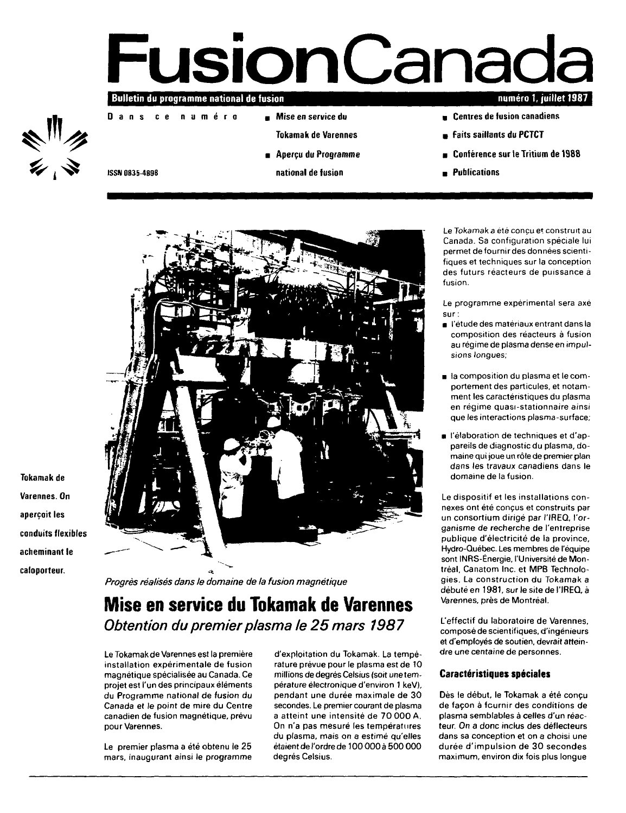# **Fusion Canada**

Bulletin du programme national de fusion

**Dan s c e numér <sup>o</sup>**

- **Mise en service du**
	- **Tokamak de Varennes**
- **Aperçu du Programme**
- **national de fusion**
- numéro 1, juillet 1987
- **Centres de fusion canadiens**
- **Faits saillants du PCTCT**
- **Conférence sur le Tritium de 1988**
- **Publications**

ISSN 0835-4898



**Tokamak de Varennes. On** aperçoit les conduits flexibles acheminant le caloporteur.

**Progrès réalisés dans le domaine de la fusion magnétique**

# **Mise en service du Tokamak de Varennes** Obtention du premier plasma le 25 mars 1987

Le Tokamak de Varennes est la première installation expérimentale de fusion magnétique spécialisée au Canada. Ce projet est l'un des principaux éléments du Programme national de fusion du Canada et le point de mire du Centre canadien de fusion magnétique, prévu pour Varennes.

Le premier plasma a été obtenu le 25 mars, inaugurant ainsi le programme d'exploitation du Tokamak. La température prévue pour le plasma est de 10 millions de degrés Celsius (soit une température électronique d'environ 1 keV), pendant une durée maximale de 30 secondes. Le premier courant de plasma a atteint une intensité de 70 000 A. On n'a pas mesuré les températures du plasma, mais on a estimé qu'elles étaient de l'ordre de 100 000 à 500 000 degrés Celsius.

Le Tokamak a été conçu et construit au Canada. Sa configuration spéciale lui permet de fournir des données scientifiques et techniques sur la conception des futurs réacteurs de puissance à fusion.

Le programme expérimental sera axé sur :

- l'étude des matériaux entrant dans la composition des réacteurs à fusion au régime de plasma dense en impulsions longues;
- la composition du plasma et le comportement des particules, et notamment les caractéristiques du plasma en régime quasi-stationnaire ainsi que les interactions plasma-surface;
- l'élaboration de techniques et d'appareils de diagnostic du plasma, domaine qui joue un rôle de premier plan dans les travaux canadiens dans le domaine de la fusion.

Le dispositif et les installations connexes ont été conçus et construits par un consortium dirigé par l'IREQ, l'organisme de recherche de l'entreprise publique d'électricité de la province, Hydro-Québec. Les membres de l'équipe sont INRS-Énergie, l'Université de Montréal, Canatom Inc. et MPB Technologies. La construction du Tokamak a débuté en 1981, sur le site de l'IREQ, à Varennes, près de Montréal.

L'effectif du laboratoire de Varennes, composé de scientifiques, d'ingénieurs et d'employés de soutien, devrait atteindre une centaine de personnes.

# **Caractéristiques spéciales**

Dès le début, le Tokamak a été conçu de façon à fournir des conditions de plasma semblables à celles d'un réacteur. On a donc inclus des déflecteurs dans sa conception et on a choisi une durée d'impulsion de 30 secondes maximum, environ dix fois plus longue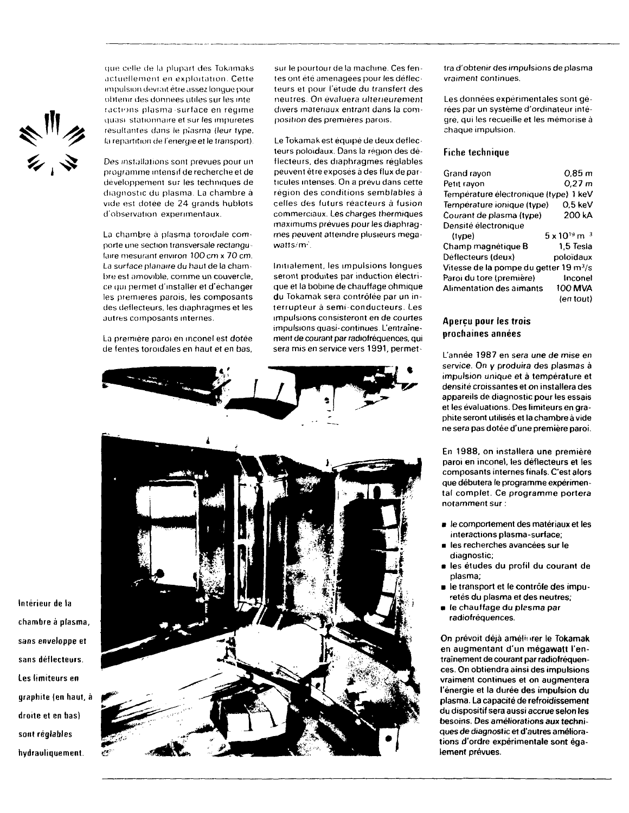ミックル シールス

que celle de Id plupart des Toknmaks actuellement en exploitation. Cette impulsion déviait être assez longue pour obtenir lies données utiles sur les inte [actions plasma surface en regime quasi stationnaire et sur les impuretés resultantes dans le plasma (leur type, la repartition de f énergie et le transport).

Des installations sont prévues pour un programme intensif de recherche et de développement sur les techniques de diagnostic du plasma. La chambre à vide est dotée de 24 grands hublots d'observation expérimentaux.

La chambre à plasma toroidale comporte une section transversale rectangulaire mesurant environ 100 cm x 70 cm. La surface planaire du haut de la chambre est amovible, comme un couvercle, ce qui permet d'installer et d'échanger les premieres parois, les composants des déflecteurs, les diaphragmes et les autres composants internes.

La première paroi en inconel est dotée de fentes toroidales en haut et en bas. sur le pourtour de la machine. Ces fentes ont été aménagées pour les déflecteurs et pour l'étude du transfert des neutres. On évaluera ultérieurement divers matériaux entrant dans la composition des premières parois.

Le Tokamak est équipé de deux déflecteurs poloidaux. Dans la région des déflecteurs, des diaphragmes réglables peuvent être exposés à des flux de particules intenses. On a prévu dans cette région des conditions semblables à celles des futurs réacteurs à fusion commerciaux. Les charges thermiques maximums prévues pour les diaphragmes peuvent atteindre plusieurs megawatts/m<sup>2</sup>.

Initialement, les impulsions longues seront produites par induction électrique et la bobine de chauffage ohmique du Tokamak sera contrôlée **par** un interrupteur à semi-conducteurs. Les impulsions consisteront en de courtes impulsions quasi-continues **L'entraînement** de **courant** par **radiofréquences, qui** sera **mis** en **service vers 1991, permet-**



tra **d'obtenir** des **impulsions** de plasma vraiment continues.

Les données expérimentales sont gérées par un système d'ordinateur intégre, qui les recueille et les mémorise à chaque impulsion.

### **Fiche technique**

| Grand rayon                                        | 0.85 m                       |
|----------------------------------------------------|------------------------------|
| Petit ravon                                        | $0,27 \; m$                  |
| Temperature electronique (type) 1 keV              |                              |
| Temperature ionique (type)                         | 0.5 keV                      |
| Courant de plasma (type)                           | 200 kA                       |
| Densité électronique                               |                              |
| (type)                                             | $5 \times 10^{19}$ m $^{-3}$ |
| Champ magnétique B                                 | 1.5 Tesla                    |
| Deflecteurs (deux)                                 | poloïdaux                    |
| Vitesse de la pompe du getter 19 m <sup>3</sup> /s |                              |
| Paroi du tore (première)                           | Inconel                      |
| <b>Alimentation des aimants</b>                    | 100 MVA                      |
|                                                    | (en tout)                    |
|                                                    |                              |

# **Aperçu pour tes trois prochaines années**

**L'année 1987 en sera une de mise en service. On y produira des plasmas à impulsion unique et à température et densité croissantes et on installera des appareils de diagnostic pour les essais et les évaluations. Des limiteurs en graphite seront utilisés et la chambre à vide ne sera pas dotée d'une première paroi.**

**En 1988, on installera une première paroi en inconel, les déflecteurs et les composants internes finals. C'est alors que débutera le programme expérimental complet. Ce programme portera notamment sur :**

- **le comportement des matériaux et les interactions plasma-surface;**
- **les recherches avancées sur le diagnostic;**
- **les études du profil du courant de plasma;**
- **le transport et le contrôle des impuretés du plasma et des neutres;**
- **le chauffage du plasma par radiofréquences.**

**On prévoit déjà améliorer le Tokamak en augmentant d'un mégawatt l'entraînement de courant par radiofréquences. On obtiendra ainsi des impulsions vraiment continues et on augmentera l'énergie et la durée des impulsion du plasma. La capacité de refroidissement du dispositif sera aussi accrue selon les besoins. Des améliorations aux techniques de diagnostic et d'autres améliorations d'ordre expérimentale sont également prévues.**

**Intérieur de la chambre a plasma, sans enveloppe et** sans **déflecteurs. Les limiteurs en graphite (en haut, à droite et en bas) sont réglables hydrauliquement.**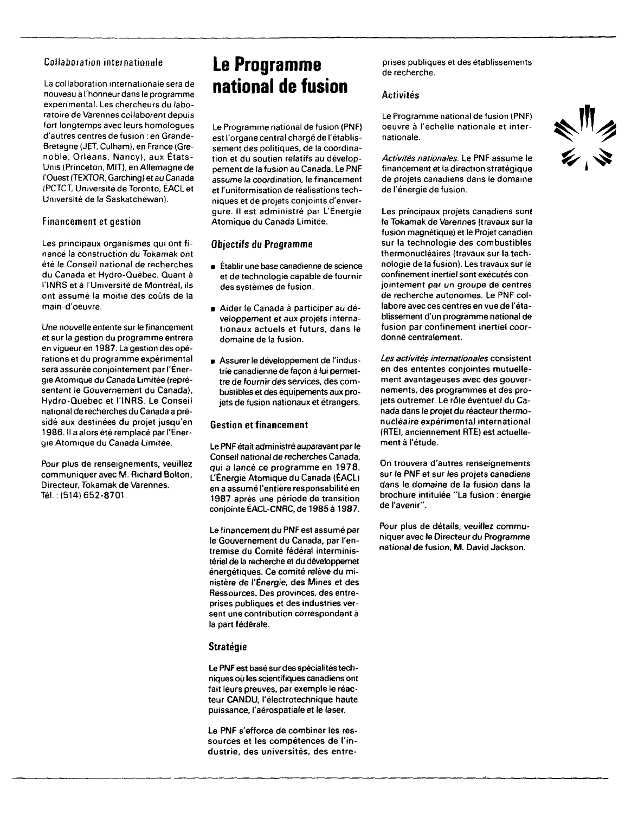# Collaboration internationale

La collaboration internationale sera de nouveau à l'honneur dans le programme experimental. Les chercheurs du laboratoire de Varennes collaborent depuis fort longtemps avec leurs homologues d'autres centres de fusion : en Grande-Bretagne (JET. Culham), en France (Grenoble. Orléans, Nancy), aux États-Unis (Princeton, MIT), en Allemagne de l'Ouest (TEXTOR. Garching) et au Canada (PCTCT, Université de Toronto, ÉACL et Université de la Saskatchewan).

## Financement et gestion

Les principaux organismes qui ont financé la construction du Tokamak ont été le Conseil national de recherches du Canada et Hydro-Québec. Quant à l'INRS et à l'Université de Montréal, ils ont assumé la moitié des coûts de la main-d'oeuvre.

Une nouvelle entente sur le financement et sur la gestion du programme entrera en vigueur en 1987. La gestion des opérations et du programme expérimental sera assurée conjointement par l'Énergie Atomique du Canada Limitée (représentant le Gouvernement du Canada), Hydro-Québec et l'INRS. Le Conseil national de recherches du Canada a présidé aux destinées du projet jusqu'en 1986. Il a alors été remplacé par l'Énergie Atomique du Canada Limitée.

Pour plus de renseignements, veuillez communiquer avec M. Richard Bolton, Directeur, Tokamak de Varennes. Tél. : (514) 652-8701.

# **Le Programme national de fusion**

Le Programme national de fusion (PNF) est l'organe central chargé de l'établissement des politiques, de la coordination et du soutien relatifs au développement de la fusion au Canada. Le PNF assume la coordination, le financement et l'uniformisation de réalisations techniques et de projets conjoints d'envergure. Il est administré par L'Énergie Atomique du Canada Limitée.

## **Objectifs du Programme**

- Établir une base canadienne de science et de technologie capable de fournir des systèmes de fusion.
- Aider le Canada à participer au développement et aux projets internationaux actuels et futurs, dans le domaine de la fusion.
- Assurer le développement de l'indus trie canadienne de façon à lui permettre de fournir des services, des combustibles et des équipements aux projets de fusion nationaux et étrangers.

## **Gestion et financement**

Le PNF était administré auparavant par le Conseil national de recherches Canada, qui a lancé ce programme en 1978. L'Énergie Atomique du Canada (ÉACL) en a assumé l'entière responsabilité en 1987 après une période de transition conjointe ÉACL-CNRC, de 1985 à 1987.

Le financement du PNF est assumé par le Gouvernement du Canada, par l'entremise du Comité fédéral interministériel de la recherche et du développemet énergétiques. Ce comité relève du ministère de l'Énergie, des Mines et des Ressources. Des provinces, des entreprises publiques et des industries versent une contribution correspondant à la part fédérale.

## **Stratégie**

Le PNF est basé sur des spécialités techniques où les scientifiques canadiens ont fait leurs preuves, par exemple le réacteur CANDU, l'électrotechnique haute puissance, l'aérospatiale et le laser.

Le PNF s'efforce de combiner les ressources et les compétences de l'industrie, des universités, des entreprises publiques et des établissements de recherche.

## **Activités**

Le Programme national de fusion (PNF) oeuvre à l'échelle nationale et internationale.

Activités nationales. Le PNF assume le financement et la direction stratégique de projets canadiens dans le domaine de l'énergie de fusion.

Les principaux projets canadiens sont le Tokamak de Varennes (travaux sur la fusion magnétique) et le Projet canadien sur la technologie des combustibles thermonucléaires (travaux sur la technologie de la fusion). Les travaux sur le confinement inertiel sont exécutés conjointement par un groupe de centres de recherche autonomes. Le PNF collabore avec ces centres en vue de l'établissement d'un programme national de fusion par confinement inertiel coordonné centralement.

Les activités internationales consistent en des ententes conjointes mutuellement avantageuses avec des gouvernements, des programmes et des projets outremer. Le rôle éventuel du Canada dans le projet du réacteur thermonucléaire expérimental international (RTEI, anciennement RTE) est actuellement à l'étude.

On trouvera d'autres renseignements sur le PNF et sur les projets canadiens dans le domaine de la fusion dans la brochure intitulée "La fusion : énergie de l'avenir".

Pour plus de détails, veuillez communiquer avec le Directeur du Programme national de fusion, M. David Jackson.

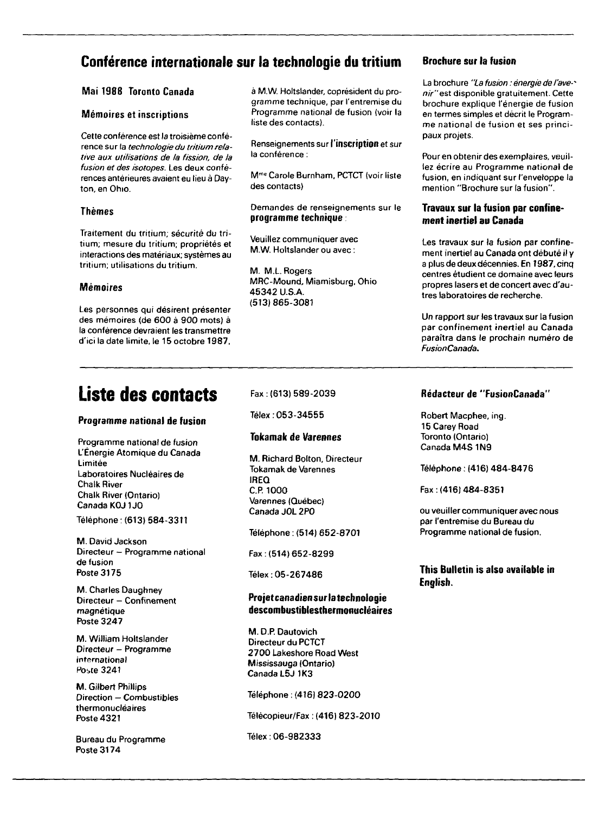# **Conférence internationale sur la technologie du tritium Brochure sur la fusion**

# Mai 1988 Toronto Canada

## Mémoires et inscriptions

Cette conférence est la troisième conférence sur la technologie du tritium relative aux utilisations de la fission, de la fusion et des isotopes. Les deux conférences antérieures avaient eu lieu à Dayton, en Ohio.

# Thèmes

Traitement du tritium, sécurité du tritium; mesure du tritium; propriétés et interactions des matériaux; systèmes au tritium; utilisations du tritium.

# Mémoires

Les personnes qui désirent présenter des mémoires (de 600 à 900 mots) à la conférence devraient les transmettre d'ici la date limite, le 15 octobre 1987,

# **Liste des contacts**

# **Programme national de fusion**

Programme national de fusion L'Énergie Atomique du Canada Limitée Laboratoires Nucléaires de Chalk River Chalk River (Ontario) Canada K0J1J0 Téléphone : (613) 584-3311

M. David Jackson Directeur - Programme national de fusion

M. Charles Daughney Directeur — Confinement magnétique Poste 3247

Poste 3175

M. William Holtslander Directeur - Programme international Poste 3241

M. Gilbert Phillips Direction — Combustibles thermonucléaires Poste 4321

Bureau du Programme Poste 3174

à M.W. Holtslander, coprésident du programme technique, par l'entremise du Programme national de fusion (voir la liste des contacts).

Renseignements sur l'inscription et sur la conférence ;

M me Carole Burnham, PCTCT (voir liste des contacts)

# Demandes de renseignements sur le programme technique

Veuillez communiquer avec M.W. Holtslander ou avec :

M. M.L. Rogers MRC-Mound, Miamisburg, Ohio 45342 U.S.A. (513)865-3081

# Fax:(613)589-2039

Télex .053-34555

# **Tokamak de Varennes**

M. Richard Bolton, Directeur Tokamak de Varennes IREQ C.P. 1000 Varennes (Québec) Canada JOL 2P0

Téléphone : (514) 652-8701

Fax:(514)652-8299

Télex : 05-267486

# **Projet canadien sur la technologie descombustiblesthermonucléaires**

M. D.P. Dautovich Directeur du PCTCT 2700 Lakeshore Road West Mississauga (Ontario) Canada L5J 1K3

Téléphone : (416) 823-0200

Télécopieur/Fax : (416) 823-2010

Télex : 06-982333

La brochure "La fusion : énergie de l'ave-' nir" est disponible gratuitement. Cette brochure explique l'énergie de fusion en termes simples et décrit le Programme national de fusion et ses principaux projets.

Pour en obtenir des exemplaires, veuillez écrire au Programme national de fusion, en indiquant sur l'enveloppe la mention "Brochure sur la fusion".

# **Travaux sur la fusion par confinement inertiel au Canada**

Les travaux sur la fusion par confinement inertiel au Canada ont débuté il y a plus de deux décennies. En 1987, cinq centres étudient ce domaine avec leurs propres lasers et de concert avec d'autres laboratoires de recherche.

Un rapport sur les travaux sur la fusion par confinement inertiel au Canada paraîtra dans le prochain numéro de FusionCanada.

# **Rédacteur de "FusionCanada"**

Robert Macphee, ing. 15 Carey Road Toronto (Ontario) Canada M4S 1N9

Téléphone ; (416) 484-8476

Fax:(416)484-8351

ou veuiller communiquer avec nous par l'entremise du Bureau du Programme national de fusion.

**This Bulletin is also available in English.**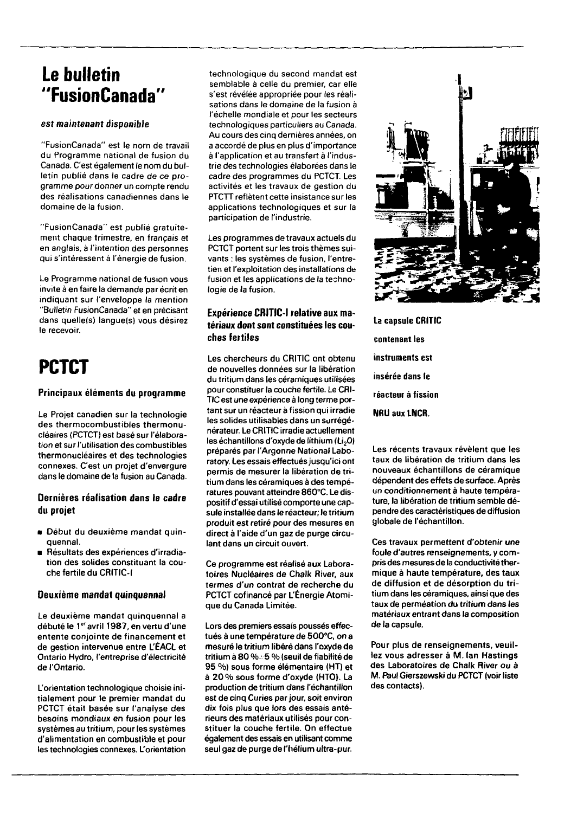# **Le bulletin "FusionCanada"**

# **est maintenant disponible**

"FusionCanada" est le nom de travail du Programme national de fusion du Canada. C'est également le nom du bulletin publié dans le cadre de ce programme pour donner un compte rendu des réalisations canadiennes dans le domaine de la fusion.

"FusionCanada" est publié gratuitement chaque trimestre, en français et en anglais, à l'intention des personnes qui s'intéressent à l'énergie de fusion.

Le Programme national de fusion vous invite à en faire la demande par écrit en indiquant sur l'enveloppe la mention "Bulletin FusionCanada" et en précisant dans quelle(s) langue(s) vous désirez le recevoir.

# **PCTCT**

# **Principaux éléments du programme**

**Le Projet canadien sur la technologie** des **thermocombustibles thermonucléaires (PCTCT) est basé sur l'élaboration et sur l'utilisation des combustibles thermonucléaires et des technologies connexes. C'est un projet d'envergure** dans **le domaine de la fusion au Canada.**

# **Dernières réalisation dans le cadre du projet**

- **Début du deuxième mandat quinquennal.**
- **Résultats des expériences d'irradiation des solides constituant la couche fertile du CRITIC-I**

# **Deuxième mandat quinquennal**

**Le deuxième mandat quinquennal** a **débuté le 1<sup>e</sup> ' avril 1987, en vertu d'une entente conjointe de financement et de gestion intervenue entre L'ÉACL et Ontario Hydro, l'entreprise d'électricité de l'Ontario.**

**L'orientation technologique choisie initialement pour le premier mandat du PCTCT était basée sur l'analyse des besoins mondiaux en fusion pour les systèmes au tritium, pour les systèmes d'alimentation en combustible et pour les technologies connexes. L'orientation**

technologique du second mandat est semblable à celle du premier, car elle s'est révélée appropriée pour les réalisations dans le domaine de la fusion à l'échelle mondiale et pour les secteurs technologiques particuliers au Canada. Au cours des cinq dernières années, on a accordé de plus en plus d'importance à l'application et au transfert à l'industrie des technologies élaborées dans le cadre des programmes du PCTCT. Les activités et les travaux de gestion du PTCTT reflètent cette insistance sur les applications technologiques et sur la participation de l'industrie.

Les programmes de travaux actuels du PCTCT portent sur les trois thèmes suivants : les systèmes de fusion, l'entretien et l'exploitation des installations de fusion et les applications de la technologie de **la fusion.**

# **Expérience CRITIC-I relative aux matériaux dont sont constituées les couches fertiles**

**Les chercheurs du CRITIC ont obtenu de nouvelles données sur la libération du tritium dans les céramiques utilisées pour constituer la couche fertile. Le CRI-TIC est une expérience à long terme portant sur un réacteur à fission qui irradie les solides utilisables dans un surrégénérateur. Le CRITIC irradie actuellement les échantillons d'oxyde de lithium (Li2O) préparés par l'Argonne National Laboratory. Les essais effectuésjusqu'ici ont permis de mesurer la libération de tritium dans les céramiques à des températures pouvant atteindre 860°C. Le dispositif d'essai utilisé comporte une capsule installée dans le réacteur; le tritium produit est retiré pour des mesures en direct à l'aide d'un gaz de purge circulant dans un circuit ouvert.**

**Ce programme est réalisé aux Laboratoires Nucléaires de Chalk River, aux termes d'un contrat de recherche du PCTCT cofinancé par L'Énergie Atomique du Canada Limitée.**

**Lors des premiers essais poussés effectués à une température de 5O0°C, on a mesuré le tritium libéré dans l'oxyde de tritium à 80 %-•5 % (seuil de fiabilité de 95 %) sous forme élémentaire (HT) et à 20 % sous forme d'oxyde (HTO). La production de tritium dans l'échantillon est de cinq Curies par jour, soit environ dix fois plus que lors des essais antérieurs des matériaux utilisés pour constituer la couche fertile. On effectue également des essais en utilisant comme seul gaz de purge de l'hélium ultra-pur.**



**La capsule CRITIC contenant les instruments est insérée dans le réacteur à fission NRU aux LNCR.**

**Les récents travaux révèlent que les taux de libération de tritium dans les nouveaux échantillons de céramique dépendent des effets de surface. Après un conditionnement à haute température, la libération de tritium semble dépendre des caractéristiques de diffusion globale de l'échantillon.**

**Ces travaux permettent d'obtenir une foule d'autres renseignements, y compris des mesures de la conductivité thermique à haute température, des taux de diffusion et de désorption du tritium dans les céramiques, ainsi que des taux de permeation du tritium dans les matériaux entrant dans la composition de la capsule.**

**Pour plus de renseignements, veuillez vous adresser à M. Ian Hastings des Laboratoires de Chalk River ou à M. Paul Gierszewski du PCTCT (voir liste des contacts).**